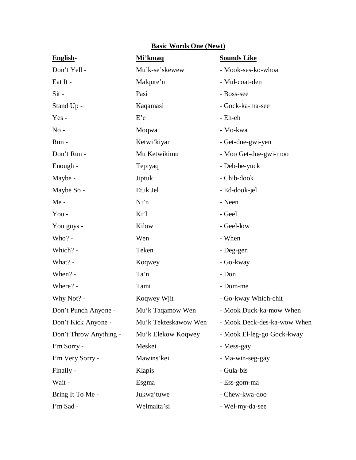| English-               | Mi'kmaq              | <b>Sounds Like</b>          |
|------------------------|----------------------|-----------------------------|
| Don't Yell -           | Mu'k-se'skewew       | - Mook-ses-ko-whoa          |
| Eat It -               | Malqute'n            | - Mul-coat-den              |
| Sit-                   | Pasi                 | - Boss-see                  |
| Stand Up -             | Kaqamasi             | - Gock-ka-ma-see            |
| $Yes -$                | E'e                  | - Eh-eh                     |
| $No -$                 | Moqwa                | - Mo-kwa                    |
| Run -                  | Ketwi'kiyan          | - Get-due-gwi-yen           |
| Don't Run -            | Mu Ketwikimu         | - Moo Get-due-gwi-moo       |
| Enough -               | Tepiyaq              | - Deb-be-yuck               |
| Maybe -                | Jiptuk               | - Chib-dook                 |
| Maybe So -             | Etuk Jel             | - Ed-dook-jel               |
| Me-                    | Ni'n                 | - Neen                      |
| You-                   | Ki'l                 | - Geel                      |
| You guys -             | Kilow                | - Geel-low                  |
| Who? -                 | Wen                  | - When                      |
| Which? -               | Teken                | - Deg-gen                   |
| What? -                | Koqwey               | - Go-kway                   |
| When? -                | Ta'n                 | - Don                       |
| Where? -               | Tami                 | - Dom-me                    |
| Why Not? -             | Koqwey Wjit          | - Go-kway Which-chit        |
| Don't Punch Anyone     | Mu'k Taqamow Wen     | - Mook Duck-ka-mow When     |
| Don't Kick Anyone -    | Mu'k Tekteskawow Wen | - Mook Deck-des-ka-wow When |
| Don't Throw Anything - | Mu'k Elekow Koqwey   | - Mook El-leg-go Gock-kway  |
| I'm Sorry -            | Meskei               | - Mess-gay                  |
| I'm Very Sorry -       | Mawins'kei           | - Ma-win-seg-gay            |
| Finally -              | Klapis               | - Gula-bis                  |
| Wait -                 | Esgma                | - Ess-gom-ma                |
| Bring It To Me -       | Jukwa'tuwe           | - Chew-kwa-doo              |
| I'm Sad -              | Welmaita'si          | - Wel-my-da-see             |

## **Basic Words One (Newt)**